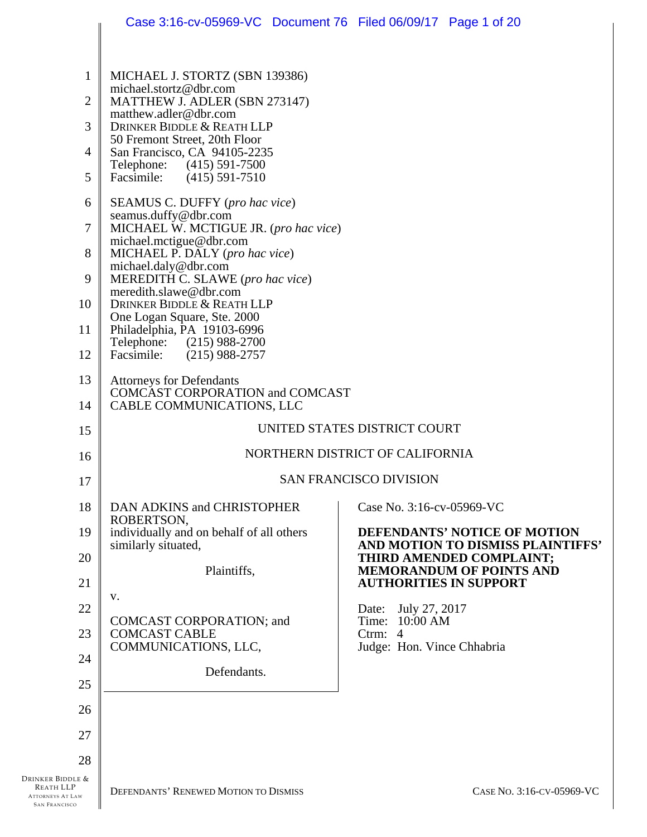|                                                                                  | Case 3:16-cv-05969-VC Document 76 Filed 06/09/17 Page 1 of 20      |                                                                   |
|----------------------------------------------------------------------------------|--------------------------------------------------------------------|-------------------------------------------------------------------|
|                                                                                  |                                                                    |                                                                   |
| $\mathbf{1}$                                                                     | MICHAEL J. STORTZ (SBN 139386)                                     |                                                                   |
| $\overline{2}$                                                                   | michael.stortz@dbr.com<br>MATTHEW J. ADLER (SBN 273147)            |                                                                   |
| 3                                                                                | matthew.adler@dbr.com<br>DRINKER BIDDLE & REATH LLP                |                                                                   |
| $\overline{4}$                                                                   | 50 Fremont Street, 20th Floor<br>San Francisco, CA 94105-2235      |                                                                   |
| 5                                                                                | Telephone:<br>$(415)$ 591-7500<br>Facsimile:<br>$(415)$ 591-7510   |                                                                   |
| 6                                                                                | SEAMUS C. DUFFY (pro hac vice)                                     |                                                                   |
| 7                                                                                | seamus.duffy@dbr.com<br>MICHAEL W. MCTIGUE JR. (pro hac vice)      |                                                                   |
| 8                                                                                | michael.mctigue@dbr.com<br>MICHAEL P. DALY (pro hac vice)          |                                                                   |
| 9                                                                                | michael.daly@dbr.com<br>MEREDITH C. SLAWE (pro hac vice)           |                                                                   |
| 10                                                                               | meredith.slawe@dbr.com<br>DRINKER BIDDLE & REATH LLP               |                                                                   |
| 11                                                                               | One Logan Square, Ste. 2000<br>Philadelphia, PA 19103-6996         |                                                                   |
| 12                                                                               | Telephone: (215) 988-2700<br>Facsimile:<br>$(215)$ 988-2757        |                                                                   |
| 13                                                                               | <b>Attorneys for Defendants</b><br>COMCAST CORPORATION and COMCAST |                                                                   |
| 14                                                                               | CABLE COMMUNICATIONS, LLC                                          |                                                                   |
| 15                                                                               |                                                                    | UNITED STATES DISTRICT COURT                                      |
| 16                                                                               |                                                                    | NORTHERN DISTRICT OF CALIFORNIA                                   |
| 17                                                                               |                                                                    | <b>SAN FRANCISCO DIVISION</b>                                     |
| 18                                                                               | DAN ADKINS and CHRISTOPHER<br>ROBERTSON,                           | Case No. 3:16-cv-05969-VC                                         |
| 19                                                                               | individually and on behalf of all others<br>similarly situated,    | DEFENDANTS' NOTICE OF MOTION<br>AND MOTION TO DISMISS PLAINTIFFS' |
| 20                                                                               | Plaintiffs,                                                        | THIRD AMENDED COMPLAINT;<br><b>MEMORANDUM OF POINTS AND</b>       |
| 21                                                                               |                                                                    | <b>AUTHORITIES IN SUPPORT</b>                                     |
| 22                                                                               | V.                                                                 | July 27, 2017<br>Date:                                            |
| 23                                                                               | COMCAST CORPORATION; and<br><b>COMCAST CABLE</b>                   | Time: 10:00 AM<br>Ctrm: 4                                         |
| 24                                                                               | COMMUNICATIONS, LLC,                                               | Judge: Hon. Vince Chhabria                                        |
| 25                                                                               | Defendants.                                                        |                                                                   |
| 26                                                                               |                                                                    |                                                                   |
| 27                                                                               |                                                                    |                                                                   |
| 28                                                                               |                                                                    |                                                                   |
| Drinker Biddle &<br>REATH LLP<br><b>ATTORNEYS AT LAW</b><br><b>SAN FRANCISCO</b> | DEFENDANTS' RENEWED MOTION TO DISMISS                              | CASE No. 3:16-CV-05969-VC                                         |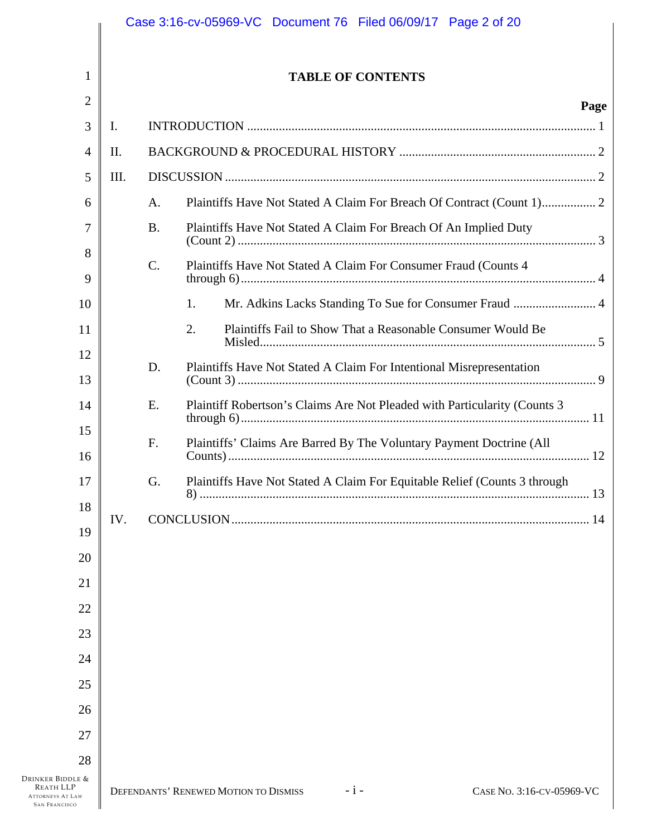|                                                                     |      |           |    |                                       |                          | Case 3:16-cv-05969-VC Document 76 Filed 06/09/17 Page 2 of 20             |      |
|---------------------------------------------------------------------|------|-----------|----|---------------------------------------|--------------------------|---------------------------------------------------------------------------|------|
| 1                                                                   |      |           |    |                                       | <b>TABLE OF CONTENTS</b> |                                                                           |      |
| $\overline{2}$                                                      |      |           |    |                                       |                          |                                                                           | Page |
| 3                                                                   | I.   |           |    |                                       |                          |                                                                           |      |
| 4                                                                   | II.  |           |    |                                       |                          |                                                                           |      |
| 5                                                                   | III. |           |    |                                       |                          |                                                                           |      |
| 6                                                                   |      | A.        |    |                                       |                          | Plaintiffs Have Not Stated A Claim For Breach Of Contract (Count 1) 2     |      |
| 7                                                                   |      | <b>B.</b> |    |                                       |                          | Plaintiffs Have Not Stated A Claim For Breach Of An Implied Duty          |      |
| 8<br>9                                                              |      | C.        |    |                                       |                          | Plaintiffs Have Not Stated A Claim For Consumer Fraud (Counts 4           |      |
| 10                                                                  |      |           | 1. |                                       |                          | Mr. Adkins Lacks Standing To Sue for Consumer Fraud  4                    |      |
| 11                                                                  |      |           | 2. |                                       |                          | Plaintiffs Fail to Show That a Reasonable Consumer Would Be               |      |
| 12<br>13                                                            |      | D.        |    |                                       |                          | Plaintiffs Have Not Stated A Claim For Intentional Misrepresentation      |      |
| 14                                                                  |      | E.        |    |                                       |                          | Plaintiff Robertson's Claims Are Not Pleaded with Particularity (Counts 3 |      |
| 15<br>16                                                            |      | F.        |    |                                       |                          | Plaintiffs' Claims Are Barred By The Voluntary Payment Doctrine (All      |      |
| 17                                                                  |      | G.        |    |                                       |                          | Plaintiffs Have Not Stated A Claim For Equitable Relief (Counts 3 through |      |
| 18                                                                  | IV.  |           |    |                                       |                          |                                                                           |      |
| 19                                                                  |      |           |    |                                       |                          |                                                                           |      |
| 20                                                                  |      |           |    |                                       |                          |                                                                           |      |
| 21                                                                  |      |           |    |                                       |                          |                                                                           |      |
| 22                                                                  |      |           |    |                                       |                          |                                                                           |      |
| 23                                                                  |      |           |    |                                       |                          |                                                                           |      |
| 24                                                                  |      |           |    |                                       |                          |                                                                           |      |
| 25                                                                  |      |           |    |                                       |                          |                                                                           |      |
| 26                                                                  |      |           |    |                                       |                          |                                                                           |      |
| 27                                                                  |      |           |    |                                       |                          |                                                                           |      |
| 28<br>Drinker Biddle &                                              |      |           |    |                                       |                          |                                                                           |      |
| <b>REATH LLP</b><br><b>ATTORNEYS AT LAW</b><br><b>SAN FRANCISCO</b> |      |           |    | DEFENDANTS' RENEWED MOTION TO DISMISS | $-i-$                    | CASE No. 3:16-CV-05969-VC                                                 |      |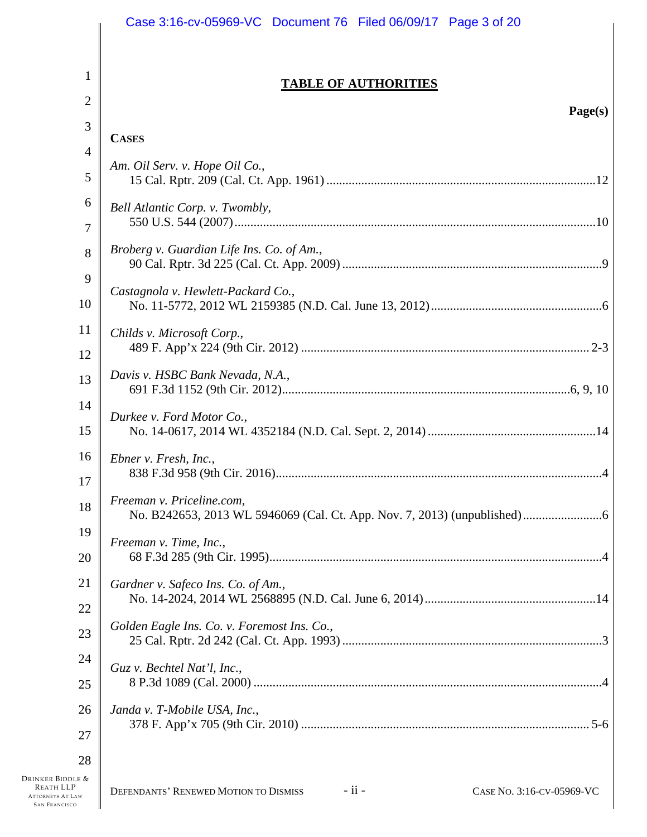|                                                                                  | Case 3:16-cv-05969-VC Document 76 Filed 06/09/17 Page 3 of 20                    |
|----------------------------------------------------------------------------------|----------------------------------------------------------------------------------|
| $\mathbf{1}$                                                                     |                                                                                  |
|                                                                                  | <b>TABLE OF AUTHORITIES</b>                                                      |
| $\overline{2}$                                                                   | Page(s)                                                                          |
| 3                                                                                | <b>CASES</b>                                                                     |
| 4                                                                                | Am. Oil Serv. v. Hope Oil Co.,                                                   |
| 5                                                                                |                                                                                  |
| 6                                                                                | Bell Atlantic Corp. v. Twombly,                                                  |
| 7<br>8                                                                           | Broberg v. Guardian Life Ins. Co. of Am.,                                        |
| 9                                                                                |                                                                                  |
| 10                                                                               | Castagnola v. Hewlett-Packard Co.,                                               |
| 11                                                                               | Childs v. Microsoft Corp.,                                                       |
| 12                                                                               |                                                                                  |
| 13                                                                               | Davis v. HSBC Bank Nevada, N.A.,                                                 |
| 14                                                                               | Durkee v. Ford Motor Co.,                                                        |
| 15                                                                               |                                                                                  |
| 16                                                                               | Ebner v. Fresh, Inc.,                                                            |
| 17                                                                               |                                                                                  |
| 18                                                                               | Freeman v. Priceline.com,                                                        |
| 19                                                                               | Freeman v. Time, Inc.,                                                           |
| 20                                                                               |                                                                                  |
| 21                                                                               | Gardner v. Safeco Ins. Co. of Am.,                                               |
| 22                                                                               |                                                                                  |
| 23                                                                               | Golden Eagle Ins. Co. v. Foremost Ins. Co.,                                      |
| 24                                                                               | Guz v. Bechtel Nat'l, Inc.,                                                      |
| 25                                                                               |                                                                                  |
| 26                                                                               | Janda v. T-Mobile USA, Inc.,                                                     |
| 27                                                                               |                                                                                  |
| 28                                                                               |                                                                                  |
| Drinker Biddle &<br>REATH LLP<br><b>ATTORNEYS AT LAW</b><br><b>SAN FRANCISCO</b> | $-$ ii $-$<br>DEFENDANTS' RENEWED MOTION TO DISMISS<br>CASE No. 3:16-CV-05969-VC |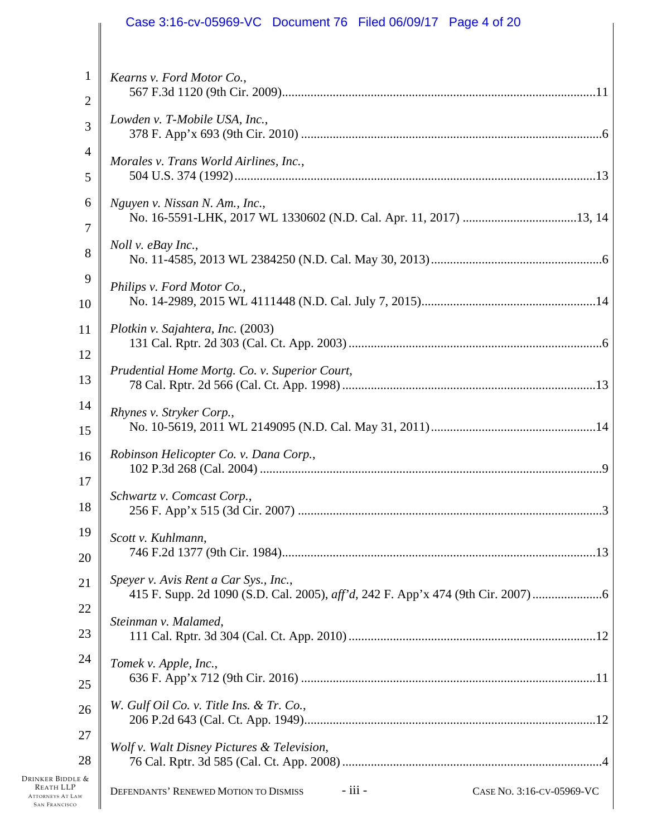|                                                                                  | Case 3:16-cv-05969-VC Document 76 Filed 06/09/17 Page 4 of 20                                          |
|----------------------------------------------------------------------------------|--------------------------------------------------------------------------------------------------------|
| 1<br>$\overline{2}$                                                              | Kearns v. Ford Motor Co.,                                                                              |
| 3                                                                                | Lowden v. T-Mobile USA, Inc.,                                                                          |
| 4<br>5                                                                           | Morales v. Trans World Airlines, Inc.,                                                                 |
| 6<br>7                                                                           | Nguyen v. Nissan N. Am., Inc.,                                                                         |
| 8                                                                                | Noll v. eBay Inc.,                                                                                     |
| 9<br>10                                                                          | Philips v. Ford Motor Co.,                                                                             |
| 11<br>12                                                                         | Plotkin v. Sajahtera, Inc. (2003)                                                                      |
| 13                                                                               | Prudential Home Mortg. Co. v. Superior Court,                                                          |
| 14<br>15                                                                         | Rhynes v. Stryker Corp.,                                                                               |
| 16                                                                               | Robinson Helicopter Co. v. Dana Corp.,                                                                 |
| 17<br>18                                                                         | Schwartz v. Comcast Corp.,                                                                             |
| 19                                                                               | Scott v. Kuhlmann,                                                                                     |
| 20<br>21                                                                         | Speyer v. Avis Rent a Car Sys., Inc.,                                                                  |
| 22                                                                               | 415 F. Supp. 2d 1090 (S.D. Cal. 2005), aff'd, 242 F. App'x 474 (9th Cir. 2007)<br>Steinman v. Malamed, |
| 23<br>24                                                                         |                                                                                                        |
| 25                                                                               | Tomek v. Apple, Inc.,                                                                                  |
| 26                                                                               | W. Gulf Oil Co. v. Title Ins. & Tr. Co.,                                                               |
| 27<br>28                                                                         | Wolf v. Walt Disney Pictures & Television,                                                             |
| Drinker Biddle &<br>REATH LLP<br><b>ATTORNEYS AT LAW</b><br><b>SAN FRANCISCO</b> | - iii -<br>DEFENDANTS' RENEWED MOTION TO DISMISS<br>CASE No. 3:16-CV-05969-VC                          |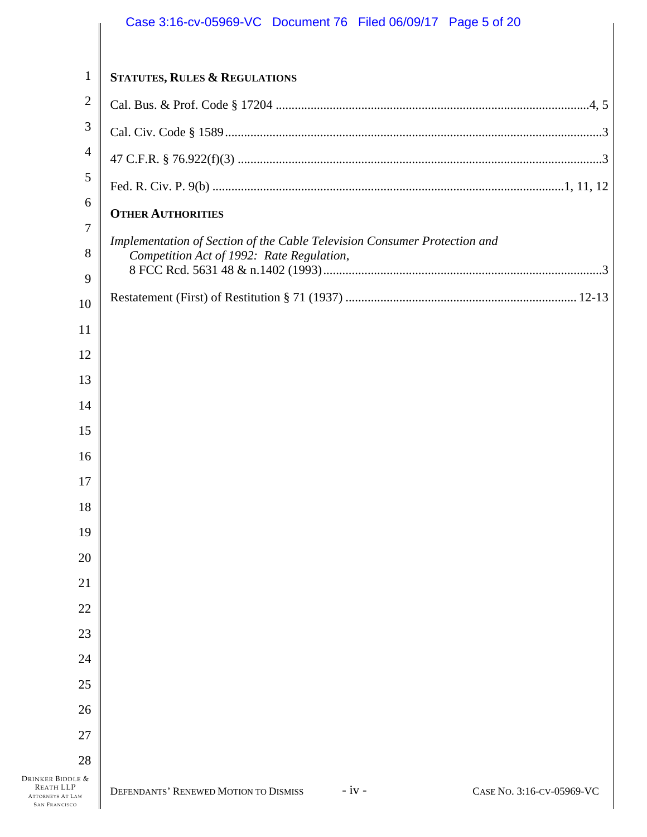|                        | Case 3:16-cv-05969-VC Document 76 Filed 06/09/17 Page 5 of 20                 |  |
|------------------------|-------------------------------------------------------------------------------|--|
| $\mathbf{1}$           | <b>STATUTES, RULES &amp; REGULATIONS</b>                                      |  |
| $\overline{2}$         |                                                                               |  |
| 3                      |                                                                               |  |
| $\overline{4}$         |                                                                               |  |
| 5                      |                                                                               |  |
| 6                      | <b>OTHER AUTHORITIES</b>                                                      |  |
| 7                      | Implementation of Section of the Cable Television Consumer Protection and     |  |
| 8                      | Competition Act of 1992: Rate Regulation,                                     |  |
| 9                      |                                                                               |  |
| 10                     |                                                                               |  |
| 11<br>12               |                                                                               |  |
| 13                     |                                                                               |  |
| 14                     |                                                                               |  |
| 15                     |                                                                               |  |
| 16                     |                                                                               |  |
| 17                     |                                                                               |  |
| 18                     |                                                                               |  |
| 19                     |                                                                               |  |
| 20                     |                                                                               |  |
| 21                     |                                                                               |  |
| 22                     |                                                                               |  |
| 23                     |                                                                               |  |
| 24                     |                                                                               |  |
| 25                     |                                                                               |  |
| 26                     |                                                                               |  |
| 27                     |                                                                               |  |
| 28<br>Drinker Biddle & |                                                                               |  |
| <b>REATH LLP</b>       | DEFENDANTS' RENEWED MOTION TO DISMISS<br>$-iv -$<br>CASE No. 3:16-CV-05969-VC |  |

ATTORNEYS AT LAW SAN FRANCISCO

 $\parallel$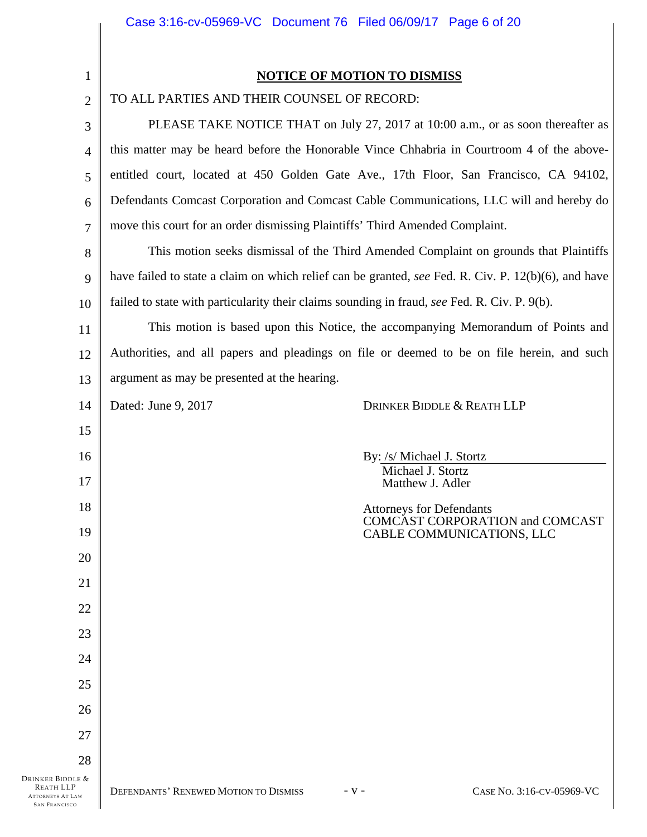| 1                                                                                       | <b>NOTICE OF MOTION TO DISMISS</b>                                                                  |
|-----------------------------------------------------------------------------------------|-----------------------------------------------------------------------------------------------------|
| $\mathbf{2}$                                                                            | TO ALL PARTIES AND THEIR COUNSEL OF RECORD:                                                         |
| 3                                                                                       | PLEASE TAKE NOTICE THAT on July 27, 2017 at 10:00 a.m., or as soon thereafter as                    |
| 4                                                                                       | this matter may be heard before the Honorable Vince Chhabria in Courtroom 4 of the above-           |
| 5                                                                                       | entitled court, located at 450 Golden Gate Ave., 17th Floor, San Francisco, CA 94102,               |
| 6                                                                                       | Defendants Comcast Corporation and Comcast Cable Communications, LLC will and hereby do             |
| 7                                                                                       | move this court for an order dismissing Plaintiffs' Third Amended Complaint.                        |
| 8                                                                                       | This motion seeks dismissal of the Third Amended Complaint on grounds that Plaintiffs               |
| 9                                                                                       | have failed to state a claim on which relief can be granted, see Fed. R. Civ. P. 12(b)(6), and have |
| 10                                                                                      | failed to state with particularity their claims sounding in fraud, see Fed. R. Civ. P. 9(b).        |
| 11                                                                                      | This motion is based upon this Notice, the accompanying Memorandum of Points and                    |
| 12                                                                                      | Authorities, and all papers and pleadings on file or deemed to be on file herein, and such          |
| 13                                                                                      | argument as may be presented at the hearing.                                                        |
| 14                                                                                      | Dated: June 9, 2017<br>DRINKER BIDDLE & REATH LLP                                                   |
| 15                                                                                      |                                                                                                     |
| 16                                                                                      | By: /s/ Michael J. Stortz                                                                           |
| 17                                                                                      | Michael J. Stortz<br>Matthew J. Adler                                                               |
| 18                                                                                      | <b>Attorneys for Defendants</b>                                                                     |
| 19                                                                                      | COMCAST CORPORATION and COMCAST<br>CABLE COMMUNICATIONS, LLC                                        |
| 20                                                                                      |                                                                                                     |
| 21                                                                                      |                                                                                                     |
| 22                                                                                      |                                                                                                     |
| 23                                                                                      |                                                                                                     |
| 24                                                                                      |                                                                                                     |
| 25                                                                                      |                                                                                                     |
| 26                                                                                      |                                                                                                     |
| 27                                                                                      |                                                                                                     |
| 28                                                                                      |                                                                                                     |
| Drinker Biddle &<br><b>REATH LLP</b><br><b>ATTORNEYS AT LAW</b><br><b>SAN FRANCISCO</b> | DEFENDANTS' RENEWED MOTION TO DISMISS<br>CASE No. 3:16-CV-05969-VC<br>$-V -$                        |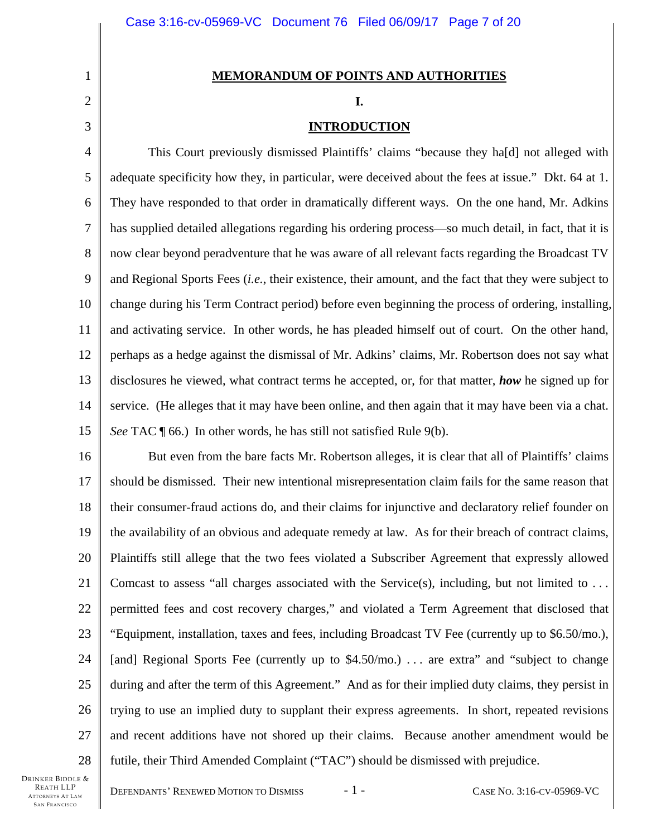# **MEMORANDUM OF POINTS AND AUTHORITIES**

#### **I.**

# **INTRODUCTION**

4 5 6 7 8 9 10 11 12 13 14 15 This Court previously dismissed Plaintiffs' claims "because they ha[d] not alleged with adequate specificity how they, in particular, were deceived about the fees at issue." Dkt. 64 at 1. They have responded to that order in dramatically different ways. On the one hand, Mr. Adkins has supplied detailed allegations regarding his ordering process—so much detail, in fact, that it is now clear beyond peradventure that he was aware of all relevant facts regarding the Broadcast TV and Regional Sports Fees (*i.e.*, their existence, their amount, and the fact that they were subject to change during his Term Contract period) before even beginning the process of ordering, installing, and activating service. In other words, he has pleaded himself out of court. On the other hand, perhaps as a hedge against the dismissal of Mr. Adkins' claims, Mr. Robertson does not say what disclosures he viewed, what contract terms he accepted, or, for that matter, *how* he signed up for service. (He alleges that it may have been online, and then again that it may have been via a chat. *See* TAC ¶ 66.) In other words, he has still not satisfied Rule 9(b).

16 17 18 19 20 21 22 23 24 25 26 27 28 But even from the bare facts Mr. Robertson alleges, it is clear that all of Plaintiffs' claims should be dismissed. Their new intentional misrepresentation claim fails for the same reason that their consumer-fraud actions do, and their claims for injunctive and declaratory relief founder on the availability of an obvious and adequate remedy at law. As for their breach of contract claims, Plaintiffs still allege that the two fees violated a Subscriber Agreement that expressly allowed Comcast to assess "all charges associated with the Service(s), including, but not limited to  $\dots$ permitted fees and cost recovery charges," and violated a Term Agreement that disclosed that "Equipment, installation, taxes and fees, including Broadcast TV Fee (currently up to \$6.50/mo.), [and] Regional Sports Fee (currently up to \$4.50/mo.) . . . are extra" and "subject to change during and after the term of this Agreement." And as for their implied duty claims, they persist in trying to use an implied duty to supplant their express agreements. In short, repeated revisions and recent additions have not shored up their claims. Because another amendment would be futile, their Third Amended Complaint ("TAC") should be dismissed with prejudice.

1

2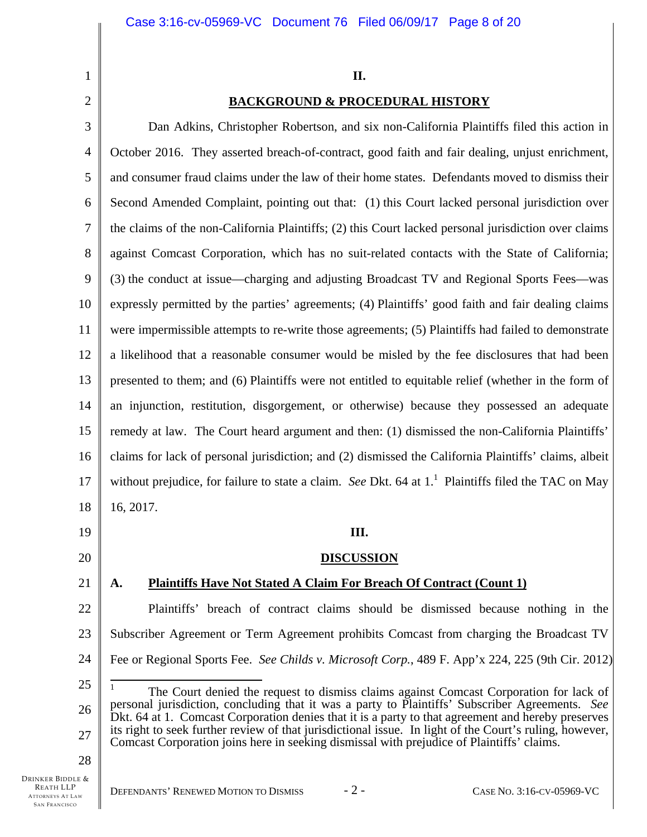**II.** 

# **BACKGROUND & PROCEDURAL HISTORY**

3 4 5 6 7 8 9 10 11 12 13 14 15 16 17 18 Dan Adkins, Christopher Robertson, and six non-California Plaintiffs filed this action in October 2016. They asserted breach-of-contract, good faith and fair dealing, unjust enrichment, and consumer fraud claims under the law of their home states. Defendants moved to dismiss their Second Amended Complaint, pointing out that: (1) this Court lacked personal jurisdiction over the claims of the non-California Plaintiffs; (2) this Court lacked personal jurisdiction over claims against Comcast Corporation, which has no suit-related contacts with the State of California; (3) the conduct at issue—charging and adjusting Broadcast TV and Regional Sports Fees—was expressly permitted by the parties' agreements; (4) Plaintiffs' good faith and fair dealing claims were impermissible attempts to re-write those agreements; (5) Plaintiffs had failed to demonstrate a likelihood that a reasonable consumer would be misled by the fee disclosures that had been presented to them; and (6) Plaintiffs were not entitled to equitable relief (whether in the form of an injunction, restitution, disgorgement, or otherwise) because they possessed an adequate remedy at law. The Court heard argument and then: (1) dismissed the non-California Plaintiffs' claims for lack of personal jurisdiction; and (2) dismissed the California Plaintiffs' claims, albeit without prejudice, for failure to state a claim. *See* Dkt. 64 at 1.<sup>1</sup> Plaintiffs filed the TAC on May 16, 2017.

20

19

1

2

21

## **DISCUSSION**

**III.** 

# **A. Plaintiffs Have Not Stated A Claim For Breach Of Contract (Count 1)**

22 23 24 Plaintiffs' breach of contract claims should be dismissed because nothing in the Subscriber Agreement or Term Agreement prohibits Comcast from charging the Broadcast TV Fee or Regional Sports Fee. *See Childs v. Microsoft Corp.*, 489 F. App'x 224, 225 (9th Cir. 2012)

25

26 27  $\overline{1}$ 1 The Court denied the request to dismiss claims against Comcast Corporation for lack of personal jurisdiction, concluding that it was a party to Plaintiffs' Subscriber Agreements. *See* Dkt. 64 at 1. Comcast Corporation denies that it is a party to that agreement and hereby preserves its right to seek further review of that jurisdictional issue. In light of the Court's ruling, however, Comcast Corporation joins here in seeking dismissal with prejudice of Plaintiffs' claims.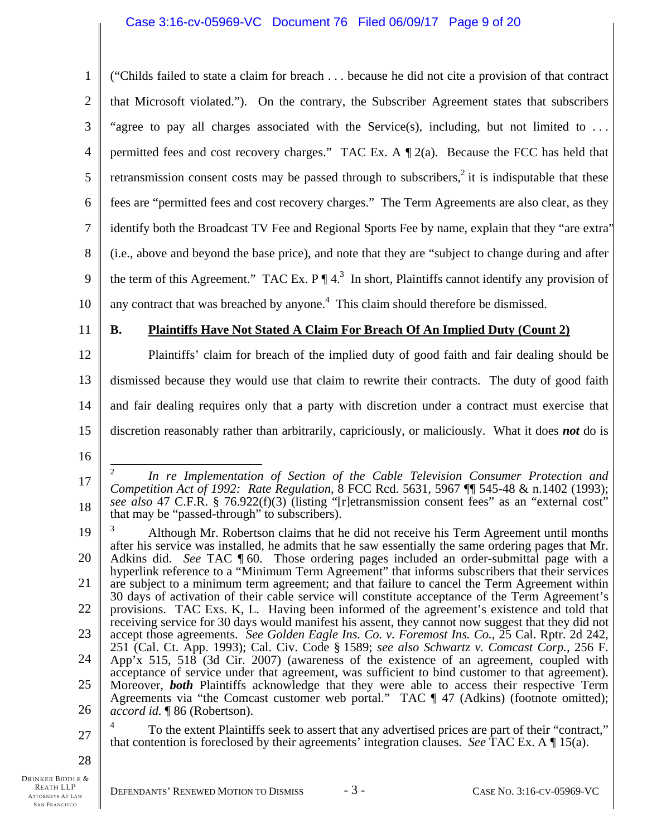| $\mathbf{1}$   | ("Childs failed to state a claim for breach because he did not cite a provision of that contract                                                                                                                                                                                                     |
|----------------|------------------------------------------------------------------------------------------------------------------------------------------------------------------------------------------------------------------------------------------------------------------------------------------------------|
| $\overline{2}$ | that Microsoft violated."). On the contrary, the Subscriber Agreement states that subscribers                                                                                                                                                                                                        |
| 3              | "agree to pay all charges associated with the Service(s), including, but not limited to                                                                                                                                                                                                              |
| $\overline{4}$ | permitted fees and cost recovery charges." TAC Ex. A $\P$ 2(a). Because the FCC has held that                                                                                                                                                                                                        |
| 5              | retransmission consent costs may be passed through to subscribers, <sup>2</sup> it is indisputable that these                                                                                                                                                                                        |
| 6              | fees are "permitted fees and cost recovery charges." The Term Agreements are also clear, as they                                                                                                                                                                                                     |
| 7              | identify both the Broadcast TV Fee and Regional Sports Fee by name, explain that they "are extra"                                                                                                                                                                                                    |
| 8              | (i.e., above and beyond the base price), and note that they are "subject to change during and after                                                                                                                                                                                                  |
| 9              | the term of this Agreement." TAC Ex. $P \P 4^3$ In short, Plaintiffs cannot identify any provision of                                                                                                                                                                                                |
| 10             | any contract that was breached by anyone. <sup>4</sup> This claim should therefore be dismissed.                                                                                                                                                                                                     |
| 11             | <b>B.</b><br><b>Plaintiffs Have Not Stated A Claim For Breach Of An Implied Duty (Count 2)</b>                                                                                                                                                                                                       |
| 12             | Plaintiffs' claim for breach of the implied duty of good faith and fair dealing should be                                                                                                                                                                                                            |
| 13             | dismissed because they would use that claim to rewrite their contracts. The duty of good faith                                                                                                                                                                                                       |
| 14             | and fair dealing requires only that a party with discretion under a contract must exercise that                                                                                                                                                                                                      |
| 15             | discretion reasonably rather than arbitrarily, capriciously, or maliciously. What it does not do is                                                                                                                                                                                                  |
| 16             |                                                                                                                                                                                                                                                                                                      |
| 17             | $\mathfrak{2}$<br>In re Implementation of Section of the Cable Television Consumer Protection and<br>Competition Act of 1992: Rate Regulation, 8 FCC Rcd. 5631, 5967 [9] 545-48 & n.1402 (1993);<br>see also 47 C.F.R. § 76.922(f)(3) (listing "[r]etransmission consent fees" as an "external cost" |
| 18             | that may be "passed-through" to subscribers).                                                                                                                                                                                                                                                        |
| 19<br>20       | Although Mr. Robertson claims that he did not receive his Term Agreement until months<br>after his service was installed, he admits that he saw essentially the same ordering pages that Mr.                                                                                                         |
| 21             | Adkins did. See TAC 160. Those ordering pages included an order-submittal page with a<br>hyperlink reference to a "Minimum Term Agreement" that informs subscribers that their services                                                                                                              |
| 22             | are subject to a minimum term agreement; and that failure to cancel the Term Agreement within<br>30 days of activation of their cable service will constitute acceptance of the Term Agreement's<br>provisions. TAC Exs. K, L. Having been informed of the agreement's existence and told that       |
| 23             | receiving service for 30 days would manifest his assent, they cannot now suggest that they did not<br>accept those agreements. See Golden Eagle Ins. Co. v. Foremost Ins. Co., 25 Cal. Rptr. 2d 242,                                                                                                 |
| 24             | 251 (Cal. Ct. App. 1993); Cal. Civ. Code § 1589; see also Schwartz v. Comcast Corp., 256 F.<br>App'x 515, 518 (3d Cir. 2007) (awareness of the existence of an agreement, coupled with                                                                                                               |
| 25             | acceptance of service under that agreement, was sufficient to bind customer to that agreement).<br>Moreover, <b>both</b> Plaintiffs acknowledge that they were able to access their respective Term                                                                                                  |
| 26             | Agreements via "the Comcast customer web portal." TAC ¶ 47 (Adkins) (footnote omitted);<br>accord id. ¶ 86 (Robertson).                                                                                                                                                                              |
| 27             | To the extent Plaintiffs seek to assert that any advertised prices are part of their "contract,"<br>that contention is foreclosed by their agreements' integration clauses. See TAC Ex. A $\P$ 15(a).                                                                                                |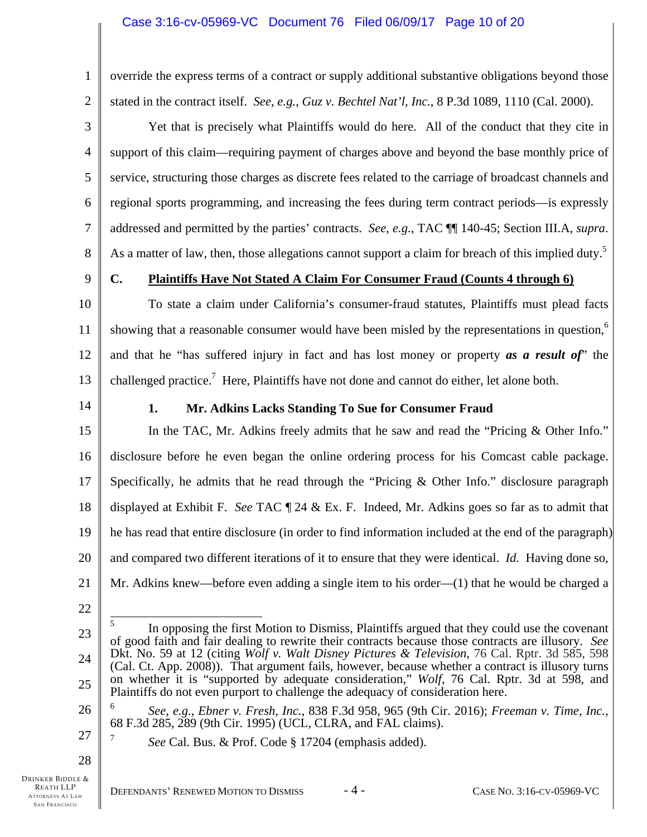override the express terms of a contract or supply additional substantive obligations beyond those stated in the contract itself. *See, e.g.*, *Guz v. Bechtel Nat'l, Inc.*, 8 P.3d 1089, 1110 (Cal. 2000).

Yet that is precisely what Plaintiffs would do here. All of the conduct that they cite in support of this claim—requiring payment of charges above and beyond the base monthly price of service, structuring those charges as discrete fees related to the carriage of broadcast channels and regional sports programming, and increasing the fees during term contract periods—is expressly addressed and permitted by the parties' contracts. *See, e.g.*, TAC ¶¶ 140-45; Section III.A, *supra*. As a matter of law, then, those allegations cannot support a claim for breach of this implied duty.<sup>5</sup>

9

1

2

3

4

5

6

7

8

# **C. Plaintiffs Have Not Stated A Claim For Consumer Fraud (Counts 4 through 6)**

10 11 12 13 To state a claim under California's consumer-fraud statutes, Plaintiffs must plead facts showing that a reasonable consumer would have been misled by the representations in question,<sup>6</sup> and that he "has suffered injury in fact and has lost money or property *as a result of*" the challenged practice.<sup>7</sup> Here, Plaintiffs have not done and cannot do either, let alone both.

14

# **1. Mr. Adkins Lacks Standing To Sue for Consumer Fraud**

15 16 17 18 19 20 21 In the TAC, Mr. Adkins freely admits that he saw and read the "Pricing & Other Info." disclosure before he even began the online ordering process for his Comcast cable package. Specifically, he admits that he read through the "Pricing & Other Info." disclosure paragraph displayed at Exhibit F. *See* TAC ¶ 24 & Ex. F. Indeed, Mr. Adkins goes so far as to admit that he has read that entire disclosure (in order to find information included at the end of the paragraph) and compared two different iterations of it to ensure that they were identical. *Id.* Having done so, Mr. Adkins knew—before even adding a single item to his order—(1) that he would be charged a

22

- 26 6 *See, e.g.*, *Ebner v. Fresh, Inc.*, 838 F.3d 958, 965 (9th Cir. 2016); *Freeman v. Time, Inc.*, 68 F.3d 285, 289 (9th Cir. 1995) (UCL, CLRA, and FAL claims).
	- *See* Cal. Bus. & Prof. Code § 17204 (emphasis added).

28

27

<sup>23</sup>  24 25  $\overline{a}$ 5 In opposing the first Motion to Dismiss, Plaintiffs argued that they could use the covenant of good faith and fair dealing to rewrite their contracts because those contracts are illusory. *See* Dkt. No. 59 at 12 (citing *Wolf v. Walt Disney Pictures & Television*, 76 Cal. Rptr. 3d 585, 598 (Cal. Ct. App. 2008)). That argument fails, however, because whether a contract is illusory turns on whether it is "supported by adequate consideration," *Wolf*, 76 Cal. Rptr. 3d at 598, and Plaintiffs do not even purport to challenge the adequacy of consideration here.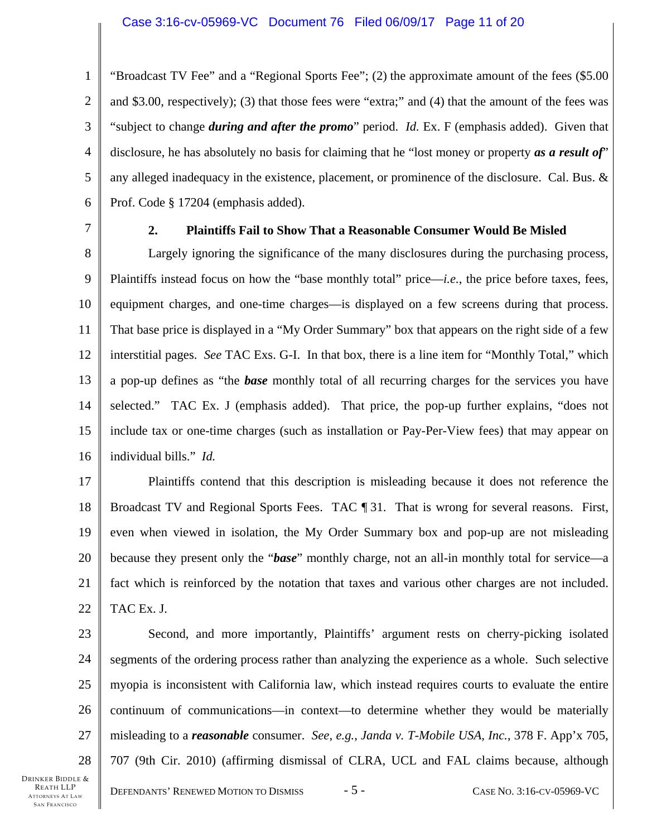1 2 3 4 5 6 "Broadcast TV Fee" and a "Regional Sports Fee"; (2) the approximate amount of the fees (\$5.00 and \$3.00, respectively); (3) that those fees were "extra;" and (4) that the amount of the fees was "subject to change *during and after the promo*" period. *Id.* Ex. F (emphasis added). Given that disclosure, he has absolutely no basis for claiming that he "lost money or property *as a result of*" any alleged inadequacy in the existence, placement, or prominence of the disclosure. Cal. Bus. & Prof. Code § 17204 (emphasis added).

7

# **2. Plaintiffs Fail to Show That a Reasonable Consumer Would Be Misled**

8 9 10 11 12 13 14 15 16 Largely ignoring the significance of the many disclosures during the purchasing process, Plaintiffs instead focus on how the "base monthly total" price—*i.e.*, the price before taxes, fees, equipment charges, and one-time charges—is displayed on a few screens during that process. That base price is displayed in a "My Order Summary" box that appears on the right side of a few interstitial pages. *See* TAC Exs. G-I. In that box, there is a line item for "Monthly Total," which a pop-up defines as "the *base* monthly total of all recurring charges for the services you have selected." TAC Ex. J (emphasis added). That price, the pop-up further explains, "does not include tax or one-time charges (such as installation or Pay-Per-View fees) that may appear on individual bills." *Id.*

17 18 19 20 21 22 Plaintiffs contend that this description is misleading because it does not reference the Broadcast TV and Regional Sports Fees. TAC ¶ 31. That is wrong for several reasons. First, even when viewed in isolation, the My Order Summary box and pop-up are not misleading because they present only the "*base*" monthly charge, not an all-in monthly total for service—a fact which is reinforced by the notation that taxes and various other charges are not included. TAC Ex. J.

23 24 25 26 27 28 Second, and more importantly, Plaintiffs' argument rests on cherry-picking isolated segments of the ordering process rather than analyzing the experience as a whole. Such selective myopia is inconsistent with California law, which instead requires courts to evaluate the entire continuum of communications—in context—to determine whether they would be materially misleading to a *reasonable* consumer. *See, e.g.*, *Janda v. T-Mobile USA, Inc.*, 378 F. App'x 705, 707 (9th Cir. 2010) (affirming dismissal of CLRA, UCL and FAL claims because, although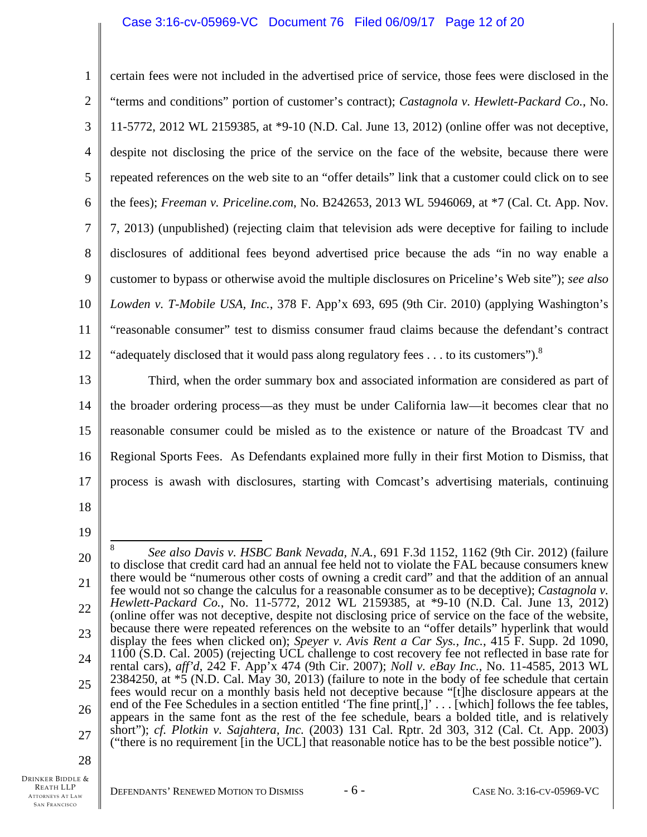# Case 3:16-cv-05969-VC Document 76 Filed 06/09/17 Page 12 of 20

1 2 3 4 5 6 7 8 9 10 11 12 certain fees were not included in the advertised price of service, those fees were disclosed in the "terms and conditions" portion of customer's contract); *Castagnola v. Hewlett-Packard Co.*, No. 11-5772, 2012 WL 2159385, at \*9-10 (N.D. Cal. June 13, 2012) (online offer was not deceptive, despite not disclosing the price of the service on the face of the website, because there were repeated references on the web site to an "offer details" link that a customer could click on to see the fees); *Freeman v. Priceline.com*, No. B242653, 2013 WL 5946069, at \*7 (Cal. Ct. App. Nov. 7, 2013) (unpublished) (rejecting claim that television ads were deceptive for failing to include disclosures of additional fees beyond advertised price because the ads "in no way enable a customer to bypass or otherwise avoid the multiple disclosures on Priceline's Web site"); *see also Lowden v. T-Mobile USA, Inc.*, 378 F. App'x 693, 695 (9th Cir. 2010) (applying Washington's "reasonable consumer" test to dismiss consumer fraud claims because the defendant's contract "adequately disclosed that it would pass along regulatory fees  $\dots$  to its customers").<sup>8</sup>

13 14 15 16 17 Third, when the order summary box and associated information are considered as part of the broader ordering process—as they must be under California law—it becomes clear that no reasonable consumer could be misled as to the existence or nature of the Broadcast TV and Regional Sports Fees. As Defendants explained more fully in their first Motion to Dismiss, that process is awash with disclosures, starting with Comcast's advertising materials, continuing

- 18
- 19

<sup>20</sup>  21 22 23 24 25 26 27  $\frac{1}{2}$ 8 *See also Davis v. HSBC Bank Nevada, N.A.*, 691 F.3d 1152, 1162 (9th Cir. 2012) (failure to disclose that credit card had an annual fee held not to violate the FAL because consumers knew there would be "numerous other costs of owning a credit card" and that the addition of an annual fee would not so change the calculus for a reasonable consumer as to be deceptive); *Castagnola v. Hewlett-Packard Co.*, No. 11-5772, 2012 WL 2159385, at \*9-10 (N.D. Cal. June 13, 2012) (online offer was not deceptive, despite not disclosing price of service on the face of the website, because there were repeated references on the website to an "offer details" hyperlink that would display the fees when clicked on); *Speyer v. Avis Rent a Car Sys., Inc.*, 415 F. Supp. 2d 1090, 1100 (S.D. Cal. 2005) (rejecting UCL challenge to cost recovery fee not reflected in base rate for rental cars), *aff'd*, 242 F. App'x 474 (9th Cir. 2007); *Noll v. eBay Inc.*, No. 11-4585, 2013 WL 2384250, at \*5 (N.D. Cal. May 30, 2013) (failure to note in the body of fee schedule that certain fees would recur on a monthly basis held not deceptive because "[t]he disclosure appears at the end of the Fee Schedules in a section entitled 'The fine print[,]' . . . [which] follows the fee tables, appears in the same font as the rest of the fee schedule, bears a bolded title, and is relatively short"); *cf. Plotkin v. Sajahtera, Inc.* (2003) 131 Cal. Rptr. 2d 303, 312 (Cal. Ct. App. 2003) ("there is no requirement [in the UCL] that reasonable notice has to be the best possible notice").

<sup>28</sup>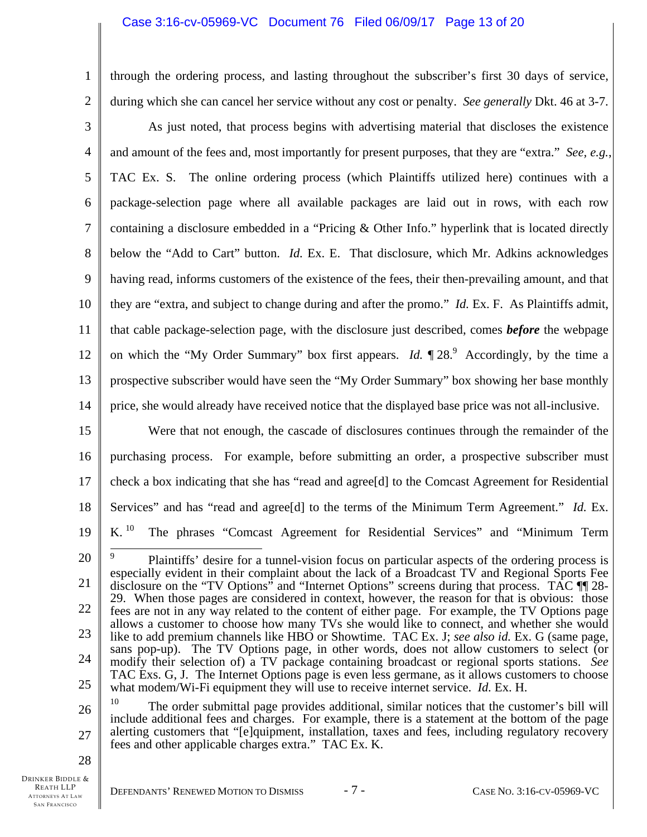# Case 3:16-cv-05969-VC Document 76 Filed 06/09/17 Page 13 of 20

through the ordering process, and lasting throughout the subscriber's first 30 days of service, during which she can cancel her service without any cost or penalty. *See generally* Dkt. 46 at 3-7.

3 4 5 6 7 8 9 10 11 12 13 14 As just noted, that process begins with advertising material that discloses the existence and amount of the fees and, most importantly for present purposes, that they are "extra." *See, e.g.*, TAC Ex. S. The online ordering process (which Plaintiffs utilized here) continues with a package-selection page where all available packages are laid out in rows, with each row containing a disclosure embedded in a "Pricing & Other Info." hyperlink that is located directly below the "Add to Cart" button. *Id.* Ex. E. That disclosure, which Mr. Adkins acknowledges having read, informs customers of the existence of the fees, their then-prevailing amount, and that they are "extra, and subject to change during and after the promo." *Id.* Ex. F. As Plaintiffs admit, that cable package-selection page, with the disclosure just described, comes *before* the webpage on which the "My Order Summary" box first appears. *Id.*  $\P$  28.<sup>9</sup> Accordingly, by the time a prospective subscriber would have seen the "My Order Summary" box showing her base monthly price, she would already have received notice that the displayed base price was not all-inclusive.

15 16 17 18 19 Were that not enough, the cascade of disclosures continues through the remainder of the purchasing process. For example, before submitting an order, a prospective subscriber must check a box indicating that she has "read and agree[d] to the Comcast Agreement for Residential Services" and has "read and agree[d] to the terms of the Minimum Term Agreement." *Id.* Ex. K.<sup>10</sup> The phrases "Comcast Agreement for Residential Services" and "Minimum Term

28

1

<sup>20</sup>  21 22 23 24 25  $\overline{a}$ 9 Plaintiffs' desire for a tunnel-vision focus on particular aspects of the ordering process is especially evident in their complaint about the lack of a Broadcast TV and Regional Sports Fee disclosure on the "TV Options" and "Internet Options" screens during that process. TAC  $\P$  28-29. When those pages are considered in context, however, the reason for that is obvious: those fees are not in any way related to the content of either page. For example, the TV Options page allows a customer to choose how many TVs she would like to connect, and whether she would like to add premium channels like HBO or Showtime. TAC Ex. J; *see also id.* Ex. G (same page, sans pop-up). The TV Options page, in other words, does not allow customers to select (or modify their selection of) a TV package containing broadcast or regional sports stations. *See* TAC Exs. G, J. The Internet Options page is even less germane, as it allows customers to choose what modem/Wi-Fi equipment they will use to receive internet service. *Id.* Ex. H.

<sup>26</sup>  27 The order submittal page provides additional, similar notices that the customer's bill will include additional fees and charges. For example, there is a statement at the bottom of the page alerting customers that "[e]quipment, installation, taxes and fees, including regulatory recovery fees and other applicable charges extra." TAC Ex. K.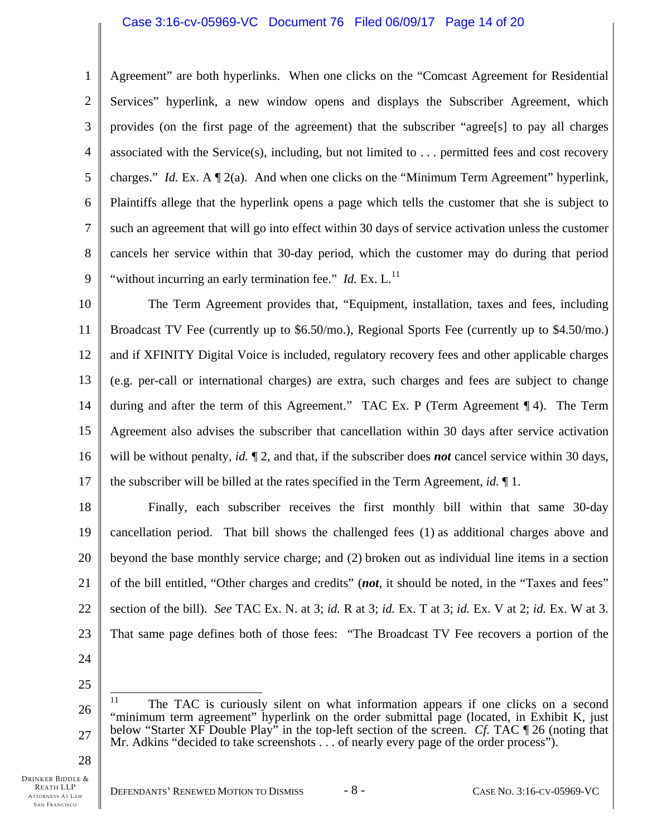### Case 3:16-cv-05969-VC Document 76 Filed 06/09/17 Page 14 of 20

Agreement" are both hyperlinks. When one clicks on the "Comcast Agreement for Residential

2 3 4 5 6 7 Services" hyperlink, a new window opens and displays the Subscriber Agreement, which provides (on the first page of the agreement) that the subscriber "agree[s] to pay all charges associated with the Service(s), including, but not limited to . . . permitted fees and cost recovery charges." *Id.* Ex. A  $\mathbb{I}$  2(a). And when one clicks on the "Minimum Term Agreement" hyperlink, Plaintiffs allege that the hyperlink opens a page which tells the customer that she is subject to

8 9 such an agreement that will go into effect within 30 days of service activation unless the customer cancels her service within that 30-day period, which the customer may do during that period "without incurring an early termination fee."  $Id$ . Ex.  $L$ .<sup>11</sup>

10 11 12 13 14 15 16 17 The Term Agreement provides that, "Equipment, installation, taxes and fees, including Broadcast TV Fee (currently up to \$6.50/mo.), Regional Sports Fee (currently up to \$4.50/mo.) and if XFINITY Digital Voice is included, regulatory recovery fees and other applicable charges (e.g. per-call or international charges) are extra, such charges and fees are subject to change during and after the term of this Agreement." TAC Ex. P (Term Agreement ¶ 4). The Term Agreement also advises the subscriber that cancellation within 30 days after service activation will be without penalty, *id.* ¶ 2, and that, if the subscriber does *not* cancel service within 30 days, the subscriber will be billed at the rates specified in the Term Agreement, *id.* ¶ 1.

18 19 20 21 22 23 Finally, each subscriber receives the first monthly bill within that same 30-day cancellation period. That bill shows the challenged fees (1) as additional charges above and beyond the base monthly service charge; and (2) broken out as individual line items in a section of the bill entitled, "Other charges and credits" (*not*, it should be noted, in the "Taxes and fees" section of the bill). *See* TAC Ex. N. at 3; *id.* R at 3; *id.* Ex. T at 3; *id.* Ex. V at 2; *id.* Ex. W at 3. That same page defines both of those fees: "The Broadcast TV Fee recovers a portion of the

24 25

1

28

27

<sup>26</sup>  11 11 The TAC is curiously silent on what information appears if one clicks on a second "minimum term agreement" hyperlink on the order submittal page (located, in Exhibit K, just below "Starter XF Double Play" in the top-left section of the screen. *Cf.* TAC ¶ 26 (noting that Mr. Adkins "decided to take screenshots . . . of nearly every page of the order process").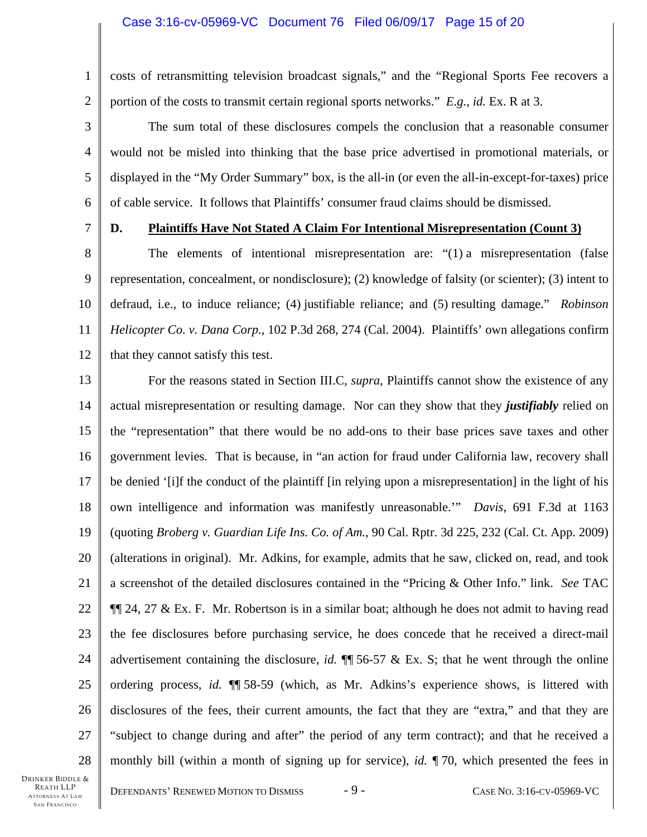### Case 3:16-cv-05969-VC Document 76 Filed 06/09/17 Page 15 of 20

1 2 costs of retransmitting television broadcast signals," and the "Regional Sports Fee recovers a portion of the costs to transmit certain regional sports networks." *E.g.*, *id.* Ex. R at 3.

The sum total of these disclosures compels the conclusion that a reasonable consumer would not be misled into thinking that the base price advertised in promotional materials, or displayed in the "My Order Summary" box, is the all-in (or even the all-in-except-for-taxes) price of cable service. It follows that Plaintiffs' consumer fraud claims should be dismissed.

7

3

4

5

6

# **D. Plaintiffs Have Not Stated A Claim For Intentional Misrepresentation (Count 3)**

8 9 10 11 12 The elements of intentional misrepresentation are: "(1) a misrepresentation (false representation, concealment, or nondisclosure); (2) knowledge of falsity (or scienter); (3) intent to defraud, i.e., to induce reliance; (4) justifiable reliance; and (5) resulting damage." *Robinson Helicopter Co. v. Dana Corp.*, 102 P.3d 268, 274 (Cal. 2004). Plaintiffs' own allegations confirm that they cannot satisfy this test.

13 14 15 16 17 18 19 20 21 22 23 24 25 26 27 28 For the reasons stated in Section III.C, *supra*, Plaintiffs cannot show the existence of any actual misrepresentation or resulting damage. Nor can they show that they *justifiably* relied on the "representation" that there would be no add-ons to their base prices save taxes and other government levies. That is because, in "an action for fraud under California law, recovery shall be denied '[i]f the conduct of the plaintiff [in relying upon a misrepresentation] in the light of his own intelligence and information was manifestly unreasonable.'" *Davis*, 691 F.3d at 1163 (quoting *Broberg v. Guardian Life Ins. Co. of Am.*, 90 Cal. Rptr. 3d 225, 232 (Cal. Ct. App. 2009) (alterations in original). Mr. Adkins, for example, admits that he saw, clicked on, read, and took a screenshot of the detailed disclosures contained in the "Pricing & Other Info." link. *See* TAC  $\P$ [24, 27 & Ex. F. Mr. Robertson is in a similar boat; although he does not admit to having read the fee disclosures before purchasing service, he does concede that he received a direct-mail advertisement containing the disclosure, *id.* ¶¶ 56-57 & Ex. S; that he went through the online ordering process, *id.* ¶¶ 58-59 (which, as Mr. Adkins's experience shows, is littered with disclosures of the fees, their current amounts, the fact that they are "extra," and that they are "subject to change during and after" the period of any term contract); and that he received a monthly bill (within a month of signing up for service), *id.* ¶ 70, which presented the fees in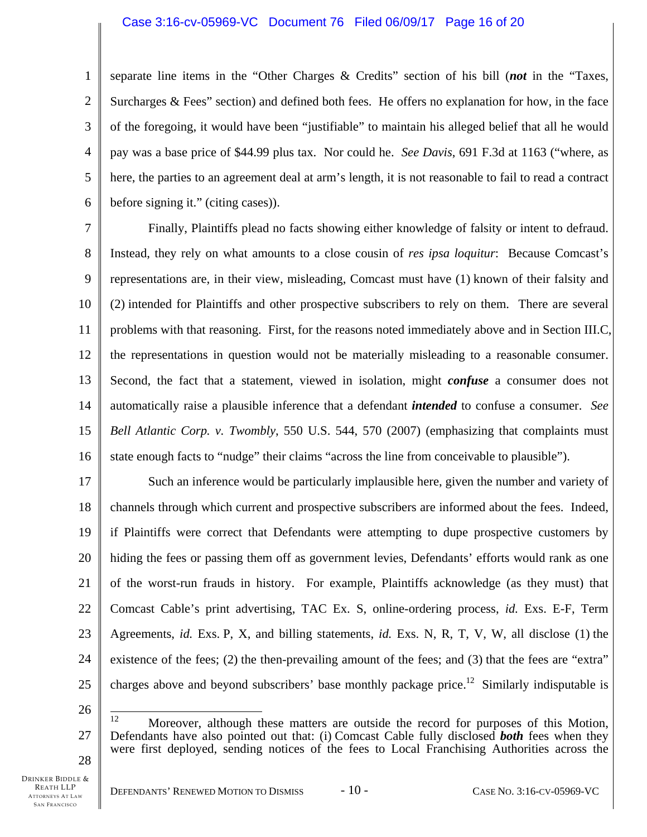# Case 3:16-cv-05969-VC Document 76 Filed 06/09/17 Page 16 of 20

1 2 3 4 5 6 separate line items in the "Other Charges & Credits" section of his bill (*not* in the "Taxes, Surcharges & Fees" section) and defined both fees. He offers no explanation for how, in the face of the foregoing, it would have been "justifiable" to maintain his alleged belief that all he would pay was a base price of \$44.99 plus tax. Nor could he. *See Davis*, 691 F.3d at 1163 ("where, as here, the parties to an agreement deal at arm's length, it is not reasonable to fail to read a contract before signing it." (citing cases)).

7 8 9 10 11 12 13 14 15 16 Finally, Plaintiffs plead no facts showing either knowledge of falsity or intent to defraud. Instead, they rely on what amounts to a close cousin of *res ipsa loquitur*: Because Comcast's representations are, in their view, misleading, Comcast must have (1) known of their falsity and (2) intended for Plaintiffs and other prospective subscribers to rely on them. There are several problems with that reasoning. First, for the reasons noted immediately above and in Section III.C, the representations in question would not be materially misleading to a reasonable consumer. Second, the fact that a statement, viewed in isolation, might *confuse* a consumer does not automatically raise a plausible inference that a defendant *intended* to confuse a consumer. *See Bell Atlantic Corp. v. Twombly*, 550 U.S. 544, 570 (2007) (emphasizing that complaints must state enough facts to "nudge" their claims "across the line from conceivable to plausible").

17 18 19 20 21 22 23 24 25 Such an inference would be particularly implausible here, given the number and variety of channels through which current and prospective subscribers are informed about the fees. Indeed, if Plaintiffs were correct that Defendants were attempting to dupe prospective customers by hiding the fees or passing them off as government levies, Defendants' efforts would rank as one of the worst-run frauds in history. For example, Plaintiffs acknowledge (as they must) that Comcast Cable's print advertising, TAC Ex. S, online-ordering process, *id.* Exs. E-F, Term Agreements, *id.* Exs. P, X, and billing statements, *id.* Exs. N, R, T, V, W, all disclose (1) the existence of the fees; (2) the then-prevailing amount of the fees; and (3) that the fees are "extra" charges above and beyond subscribers' base monthly package price.<sup>12</sup> Similarly indisputable is

26

<sup>27</sup>  12 Moreover, although these matters are outside the record for purposes of this Motion, Defendants have also pointed out that: (i) Comcast Cable fully disclosed *both* fees when they were first deployed, sending notices of the fees to Local Franchising Authorities across the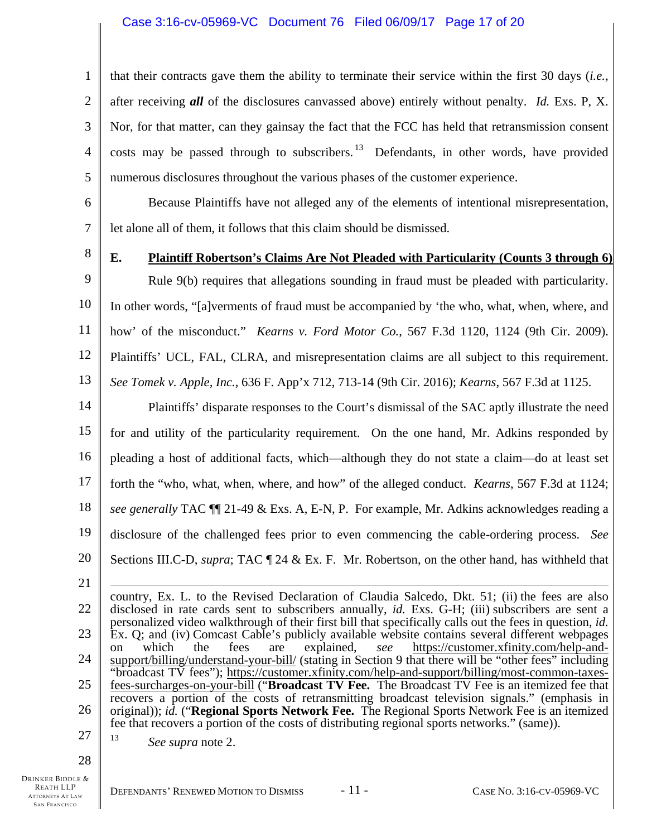# Case 3:16-cv-05969-VC Document 76 Filed 06/09/17 Page 17 of 20

1 2 3 4 5 that their contracts gave them the ability to terminate their service within the first 30 days (*i.e.*, after receiving *all* of the disclosures canvassed above) entirely without penalty. *Id.* Exs. P, X. Nor, for that matter, can they gainsay the fact that the FCC has held that retransmission consent costs may be passed through to subscribers. <sup>13</sup> Defendants, in other words, have provided numerous disclosures throughout the various phases of the customer experience.

6 7 Because Plaintiffs have not alleged any of the elements of intentional misrepresentation, let alone all of them, it follows that this claim should be dismissed.

8

# **E. Plaintiff Robertson's Claims Are Not Pleaded with Particularity (Counts 3 through 6)**

9 10 11 12 13 Rule 9(b) requires that allegations sounding in fraud must be pleaded with particularity. In other words, "[a]verments of fraud must be accompanied by 'the who, what, when, where, and how' of the misconduct." *Kearns v. Ford Motor Co.*, 567 F.3d 1120, 1124 (9th Cir. 2009). Plaintiffs' UCL, FAL, CLRA, and misrepresentation claims are all subject to this requirement. *See Tomek v. Apple, Inc.*, 636 F. App'x 712, 713-14 (9th Cir. 2016); *Kearns*, 567 F.3d at 1125.

14 15 16 17 18 19 20 Plaintiffs' disparate responses to the Court's dismissal of the SAC aptly illustrate the need for and utility of the particularity requirement. On the one hand, Mr. Adkins responded by pleading a host of additional facts, which—although they do not state a claim—do at least set forth the "who, what, when, where, and how" of the alleged conduct. *Kearns*, 567 F.3d at 1124; *see generally* TAC ¶¶ 21-49 & Exs. A, E-N, P. For example, Mr. Adkins acknowledges reading a disclosure of the challenged fees prior to even commencing the cable-ordering process. *See* Sections III.C-D, *supra*; TAC ¶ 24 & Ex. F. Mr. Robertson, on the other hand, has withheld that

21

22 23 24 25 26 country, Ex. L. to the Revised Declaration of Claudia Salcedo, Dkt. 51; (ii) the fees are also disclosed in rate cards sent to subscribers annually, *id.* Exs. G-H; (iii) subscribers are sent a personalized video walkthrough of their first bill that specifically calls out the fees in question, *id.* Ex. Q; and (iv) Comcast Cable's publicly available website contains several different webpages on which the fees are explained, *see* https://customer.xfinity.com/help-andsupport/billing/understand-your-bill/ (stating in Section 9 that there will be "other fees" including "broadcast TV fees"); https://customer.xfinity.com/help-and-support/billing/most-common-taxesfees-surcharges-on-your-bill ("**Broadcast TV Fee.** The Broadcast TV Fee is an itemized fee that recovers a portion of the costs of retransmitting broadcast television signals." (emphasis in original)); *id.* ("**Regional Sports Network Fee.** The Regional Sports Network Fee is an itemized fee that recovers a portion of the costs of distributing regional sports networks." (same)).

27 13 *See supra* note 2.

28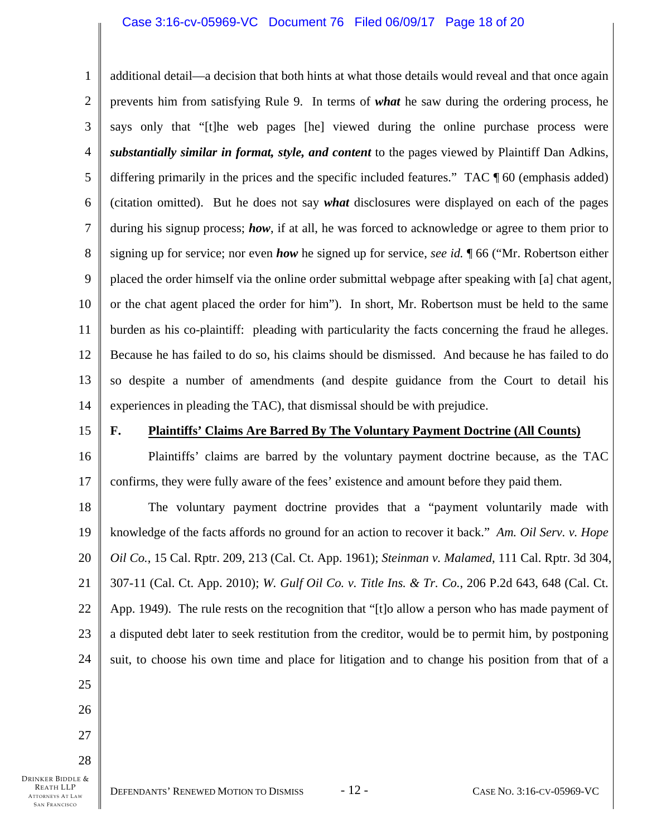# Case 3:16-cv-05969-VC Document 76 Filed 06/09/17 Page 18 of 20

1 2 3 4 5 6 7 8 9 10 11 12 13 14 additional detail—a decision that both hints at what those details would reveal and that once again prevents him from satisfying Rule 9. In terms of *what* he saw during the ordering process, he says only that "[t]he web pages [he] viewed during the online purchase process were *substantially similar in format, style, and content* to the pages viewed by Plaintiff Dan Adkins, differing primarily in the prices and the specific included features." TAC ¶ 60 (emphasis added) (citation omitted). But he does not say *what* disclosures were displayed on each of the pages during his signup process; *how*, if at all, he was forced to acknowledge or agree to them prior to signing up for service; nor even *how* he signed up for service, *see id.* ¶ 66 ("Mr. Robertson either placed the order himself via the online order submittal webpage after speaking with [a] chat agent, or the chat agent placed the order for him"). In short, Mr. Robertson must be held to the same burden as his co-plaintiff: pleading with particularity the facts concerning the fraud he alleges. Because he has failed to do so, his claims should be dismissed. And because he has failed to do so despite a number of amendments (and despite guidance from the Court to detail his experiences in pleading the TAC), that dismissal should be with prejudice.

15

16

17

## **F. Plaintiffs' Claims Are Barred By The Voluntary Payment Doctrine (All Counts)**

Plaintiffs' claims are barred by the voluntary payment doctrine because, as the TAC confirms, they were fully aware of the fees' existence and amount before they paid them.

18 19 20 21 22 23 24 25 The voluntary payment doctrine provides that a "payment voluntarily made with knowledge of the facts affords no ground for an action to recover it back." *Am. Oil Serv. v. Hope Oil Co.*, 15 Cal. Rptr. 209, 213 (Cal. Ct. App. 1961); *Steinman v. Malamed*, 111 Cal. Rptr. 3d 304, 307-11 (Cal. Ct. App. 2010); *W. Gulf Oil Co. v. Title Ins. & Tr. Co.*, 206 P.2d 643, 648 (Cal. Ct. App. 1949). The rule rests on the recognition that "[t]o allow a person who has made payment of a disputed debt later to seek restitution from the creditor, would be to permit him, by postponing suit, to choose his own time and place for litigation and to change his position from that of a

DRINKER BIDDLE & REATH LLP ATTORNEYS AT LAW SAN FRANCISCO 28

26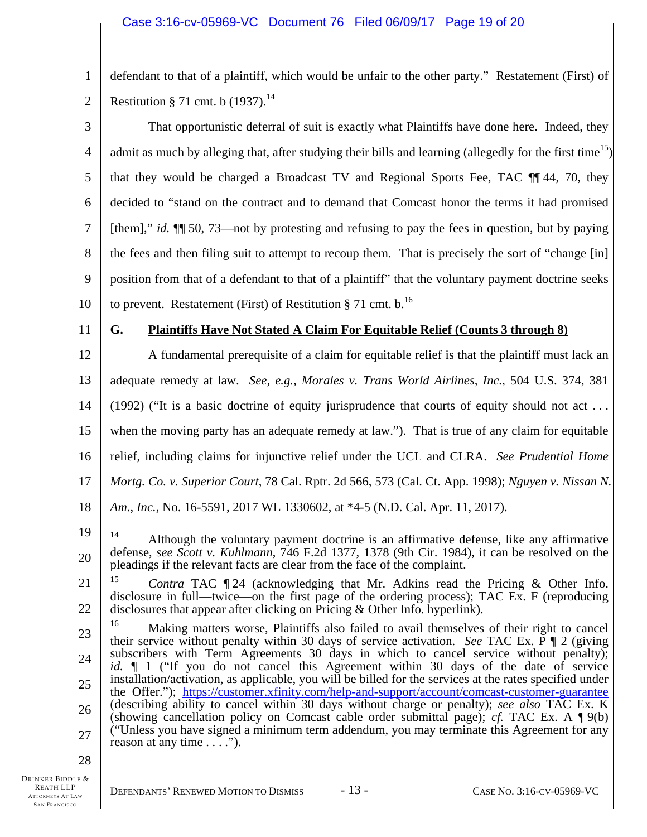1 2 defendant to that of a plaintiff, which would be unfair to the other party." Restatement (First) of Restitution § 71 cmt. b  $(1937).$ <sup>14</sup>

3 4 5 6 7 8 9 10 That opportunistic deferral of suit is exactly what Plaintiffs have done here. Indeed, they admit as much by alleging that, after studying their bills and learning (allegedly for the first time<sup>15</sup>) that they would be charged a Broadcast TV and Regional Sports Fee, TAC ¶¶ 44, 70, they decided to "stand on the contract and to demand that Comcast honor the terms it had promised [them]," *id.* ¶¶ 50, 73—not by protesting and refusing to pay the fees in question, but by paying the fees and then filing suit to attempt to recoup them. That is precisely the sort of "change [in] position from that of a defendant to that of a plaintiff" that the voluntary payment doctrine seeks to prevent. Restatement (First) of Restitution § 71 cmt.  $b$ .<sup>16</sup>

11

# **G. Plaintiffs Have Not Stated A Claim For Equitable Relief (Counts 3 through 8)**

12 13 14 15 16 17 18 A fundamental prerequisite of a claim for equitable relief is that the plaintiff must lack an adequate remedy at law. *See, e.g.*, *Morales v. Trans World Airlines, Inc.*, 504 U.S. 374, 381 (1992) ("It is a basic doctrine of equity jurisprudence that courts of equity should not act . . . when the moving party has an adequate remedy at law."). That is true of any claim for equitable relief, including claims for injunctive relief under the UCL and CLRA. *See Prudential Home Mortg. Co. v. Superior Court*, 78 Cal. Rptr. 2d 566, 573 (Cal. Ct. App. 1998); *Nguyen v. Nissan N. Am., Inc.*, No. 16-5591, 2017 WL 1330602, at \*4-5 (N.D. Cal. Apr. 11, 2017).

19

<sup>20</sup>   $14$ 14 Although the voluntary payment doctrine is an affirmative defense, like any affirmative defense, *see Scott v. Kuhlmann*, 746 F.2d 1377, 1378 (9th Cir. 1984), it can be resolved on the pleadings if the relevant facts are clear from the face of the complaint.

<sup>21</sup>  22 <sup>15</sup> *Contra* TAC ¶ 24 (acknowledging that Mr. Adkins read the Pricing & Other Info. disclosure in full—twice—on the first page of the ordering process); TAC Ex. F (reproducing disclosures that appear after clicking on Pricing & Other Info. hyperlink).

<sup>23</sup>  24 25 26 27 <sup>16</sup> Making matters worse, Plaintiffs also failed to avail themselves of their right to cancel their service without penalty within 30 days of service activation. *See* TAC Ex. P ¶ 2 (giving subscribers with Term Agreements 30 days in which to cancel service without penalty); *id.* ¶ 1 ("If you do not cancel this Agreement within 30 days of the date of service installation/activation, as applicable, you will be billed for the services at the rates specified under the Offer."); https://customer.xfinity.com/help-and-support/account/comcast-customer-guarantee (describing ability to cancel within 30 days without charge or penalty); *see also* TAC Ex. K (showing cancellation policy on Comcast cable order submittal page); *cf.* TAC Ex. A ¶ 9(b) ("Unless you have signed a minimum term addendum, you may terminate this Agreement for any reason at any time  $\dots$ .").